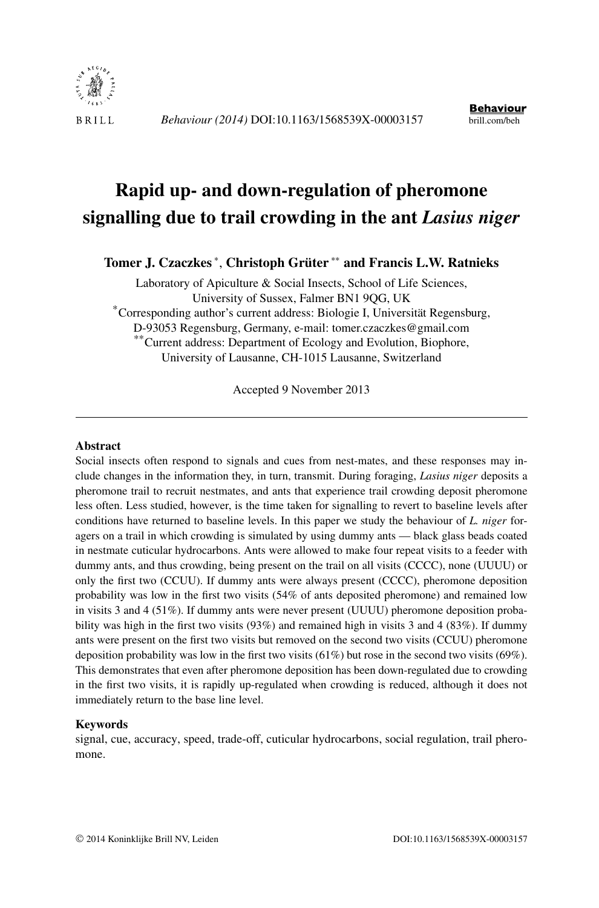

# **Rapid up- and down-regulation of pheromone signalling due to trail crowding in the ant** *Lasius niger*

**Tomer J. Czaczkes** <sup>∗</sup> , **Christoph Grüter** ∗∗ **and Francis L.W. Ratnieks**

Laboratory of Apiculture & Social Insects, School of Life Sciences, University of Sussex, Falmer BN1 9QG, UK \*Corresponding author's current address: Biologie I, Universität Regensburg, D-93053 Regensburg, Germany, e-mail: tomer.czaczkes@gmail.com \*\*Current address: Department of Ecology and Evolution, Biophore, University of Lausanne, CH-1015 Lausanne, Switzerland

Accepted 9 November 2013

#### **Abstract**

Social insects often respond to signals and cues from nest-mates, and these responses may include changes in the information they, in turn, transmit. During foraging, *Lasius niger* deposits a pheromone trail to recruit nestmates, and ants that experience trail crowding deposit pheromone less often. Less studied, however, is the time taken for signalling to revert to baseline levels after conditions have returned to baseline levels. In this paper we study the behaviour of *L. niger* foragers on a trail in which crowding is simulated by using dummy ants — black glass beads coated in nestmate cuticular hydrocarbons. Ants were allowed to make four repeat visits to a feeder with dummy ants, and thus crowding, being present on the trail on all visits (CCCC), none (UUUU) or only the first two (CCUU). If dummy ants were always present (CCCC), pheromone deposition probability was low in the first two visits (54% of ants deposited pheromone) and remained low in visits 3 and 4 (51%). If dummy ants were never present (UUUU) pheromone deposition probability was high in the first two visits (93%) and remained high in visits 3 and 4 (83%). If dummy ants were present on the first two visits but removed on the second two visits (CCUU) pheromone deposition probability was low in the first two visits (61%) but rose in the second two visits (69%). This demonstrates that even after pheromone deposition has been down-regulated due to crowding in the first two visits, it is rapidly up-regulated when crowding is reduced, although it does not immediately return to the base line level.

#### **Keywords**

signal, cue, accuracy, speed, trade-off, cuticular hydrocarbons, social regulation, trail pheromone.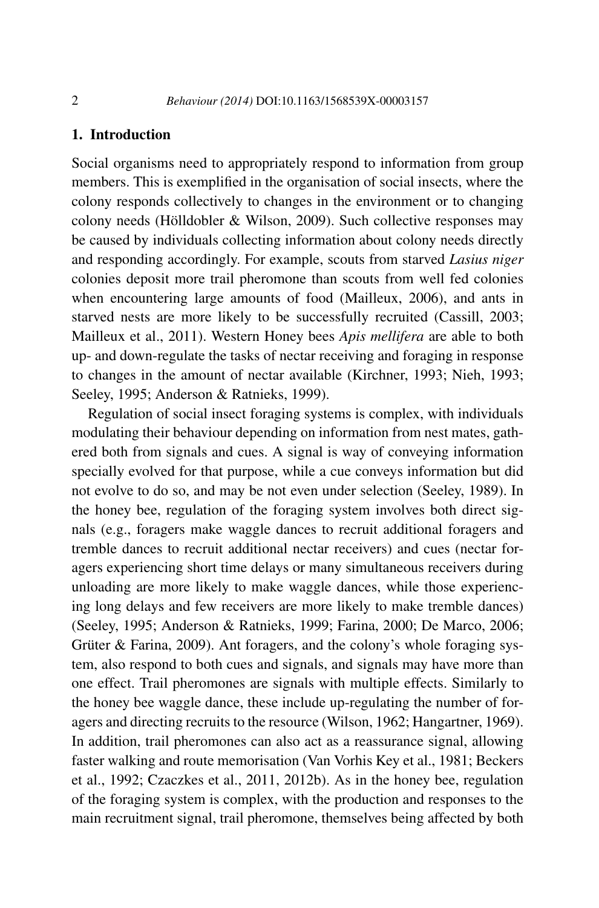# **1. Introduction**

Social organisms need to appropriately respond to information from group members. This is exemplified in the organisation of social insects, where the colony responds collectively to changes in the environment or to changing colony needs (Hölldobler & Wilson, 2009). Such collective responses may be caused by individuals collecting information about colony needs directly and responding accordingly. For example, scouts from starved *Lasius niger* colonies deposit more trail pheromone than scouts from well fed colonies when encountering large amounts of food (Mailleux, 2006), and ants in starved nests are more likely to be successfully recruited (Cassill, 2003; Mailleux et al., 2011). Western Honey bees *Apis mellifera* are able to both up- and down-regulate the tasks of nectar receiving and foraging in response to changes in the amount of nectar available (Kirchner, 1993; Nieh, 1993; Seeley, 1995; Anderson & Ratnieks, 1999).

Regulation of social insect foraging systems is complex, with individuals modulating their behaviour depending on information from nest mates, gathered both from signals and cues. A signal is way of conveying information specially evolved for that purpose, while a cue conveys information but did not evolve to do so, and may be not even under selection (Seeley, 1989). In the honey bee, regulation of the foraging system involves both direct signals (e.g., foragers make waggle dances to recruit additional foragers and tremble dances to recruit additional nectar receivers) and cues (nectar foragers experiencing short time delays or many simultaneous receivers during unloading are more likely to make waggle dances, while those experiencing long delays and few receivers are more likely to make tremble dances) (Seeley, 1995; Anderson & Ratnieks, 1999; Farina, 2000; De Marco, 2006; Grüter & Farina, 2009). Ant foragers, and the colony's whole foraging system, also respond to both cues and signals, and signals may have more than one effect. Trail pheromones are signals with multiple effects. Similarly to the honey bee waggle dance, these include up-regulating the number of foragers and directing recruits to the resource (Wilson, 1962; Hangartner, 1969). In addition, trail pheromones can also act as a reassurance signal, allowing faster walking and route memorisation (Van Vorhis Key et al., 1981; Beckers et al., 1992; Czaczkes et al., 2011, 2012b). As in the honey bee, regulation of the foraging system is complex, with the production and responses to the main recruitment signal, trail pheromone, themselves being affected by both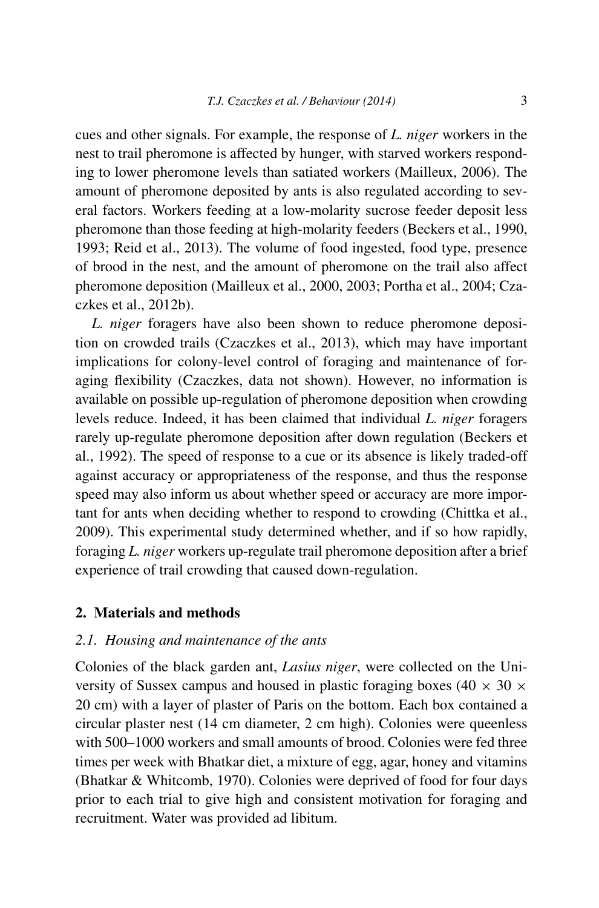cues and other signals. For example, the response of *L. niger* workers in the nest to trail pheromone is affected by hunger, with starved workers responding to lower pheromone levels than satiated workers (Mailleux, 2006). The amount of pheromone deposited by ants is also regulated according to several factors. Workers feeding at a low-molarity sucrose feeder deposit less pheromone than those feeding at high-molarity feeders (Beckers et al., 1990, 1993; Reid et al., 2013). The volume of food ingested, food type, presence of brood in the nest, and the amount of pheromone on the trail also affect pheromone deposition (Mailleux et al., 2000, 2003; Portha et al., 2004; Czaczkes et al., 2012b).

*L. niger* foragers have also been shown to reduce pheromone deposition on crowded trails (Czaczkes et al., 2013), which may have important implications for colony-level control of foraging and maintenance of foraging flexibility (Czaczkes, data not shown). However, no information is available on possible up-regulation of pheromone deposition when crowding levels reduce. Indeed, it has been claimed that individual *L. niger* foragers rarely up-regulate pheromone deposition after down regulation (Beckers et al., 1992). The speed of response to a cue or its absence is likely traded-off against accuracy or appropriateness of the response, and thus the response speed may also inform us about whether speed or accuracy are more important for ants when deciding whether to respond to crowding (Chittka et al., 2009). This experimental study determined whether, and if so how rapidly, foraging *L. niger* workers up-regulate trail pheromone deposition after a brief experience of trail crowding that caused down-regulation.

# **2. Materials and methods**

# *2.1. Housing and maintenance of the ants*

Colonies of the black garden ant, *Lasius niger*, were collected on the University of Sussex campus and housed in plastic foraging boxes (40  $\times$  30  $\times$ 20 cm) with a layer of plaster of Paris on the bottom. Each box contained a circular plaster nest (14 cm diameter, 2 cm high). Colonies were queenless with 500–1000 workers and small amounts of brood. Colonies were fed three times per week with Bhatkar diet, a mixture of egg, agar, honey and vitamins (Bhatkar & Whitcomb, 1970). Colonies were deprived of food for four days prior to each trial to give high and consistent motivation for foraging and recruitment. Water was provided ad libitum.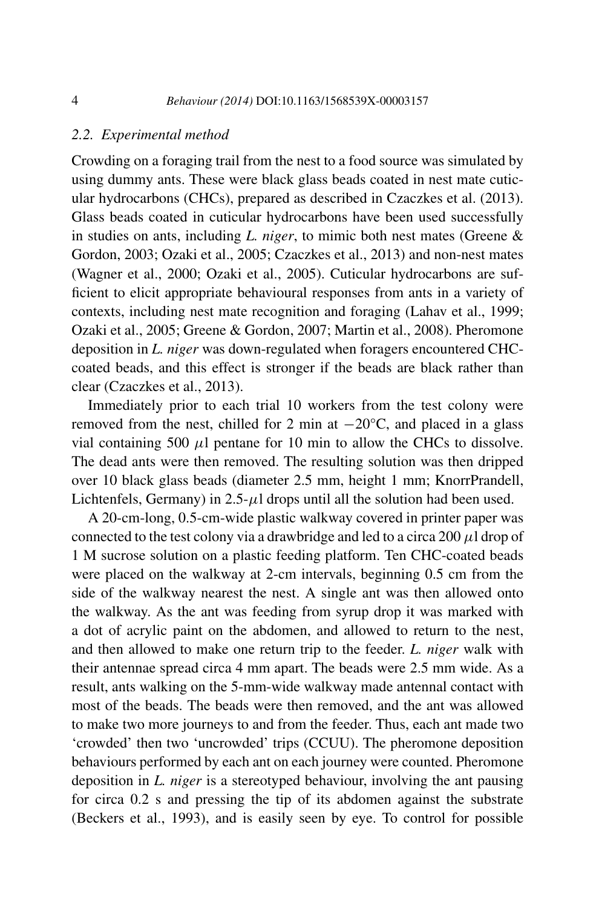## *2.2. Experimental method*

Crowding on a foraging trail from the nest to a food source was simulated by using dummy ants. These were black glass beads coated in nest mate cuticular hydrocarbons (CHCs), prepared as described in Czaczkes et al. (2013). Glass beads coated in cuticular hydrocarbons have been used successfully in studies on ants, including *L. niger*, to mimic both nest mates (Greene & Gordon, 2003; Ozaki et al., 2005; Czaczkes et al., 2013) and non-nest mates (Wagner et al., 2000; Ozaki et al., 2005). Cuticular hydrocarbons are sufficient to elicit appropriate behavioural responses from ants in a variety of contexts, including nest mate recognition and foraging (Lahav et al., 1999; Ozaki et al., 2005; Greene & Gordon, 2007; Martin et al., 2008). Pheromone deposition in *L. niger* was down-regulated when foragers encountered CHCcoated beads, and this effect is stronger if the beads are black rather than clear (Czaczkes et al., 2013).

Immediately prior to each trial 10 workers from the test colony were removed from the nest, chilled for 2 min at  $-20^{\circ}$ C, and placed in a glass vial containing 500  $\mu$ l pentane for 10 min to allow the CHCs to dissolve. The dead ants were then removed. The resulting solution was then dripped over 10 black glass beads (diameter 2.5 mm, height 1 mm; KnorrPrandell, Lichtenfels, Germany) in  $2.5-\mu$ l drops until all the solution had been used.

A 20-cm-long, 0.5-cm-wide plastic walkway covered in printer paper was connected to the test colony via a drawbridge and led to a circa 200 *μ*l drop of 1 M sucrose solution on a plastic feeding platform. Ten CHC-coated beads were placed on the walkway at 2-cm intervals, beginning 0.5 cm from the side of the walkway nearest the nest. A single ant was then allowed onto the walkway. As the ant was feeding from syrup drop it was marked with a dot of acrylic paint on the abdomen, and allowed to return to the nest, and then allowed to make one return trip to the feeder. *L. niger* walk with their antennae spread circa 4 mm apart. The beads were 2.5 mm wide. As a result, ants walking on the 5-mm-wide walkway made antennal contact with most of the beads. The beads were then removed, and the ant was allowed to make two more journeys to and from the feeder. Thus, each ant made two 'crowded' then two 'uncrowded' trips (CCUU). The pheromone deposition behaviours performed by each ant on each journey were counted. Pheromone deposition in *L. niger* is a stereotyped behaviour, involving the ant pausing for circa 0.2 s and pressing the tip of its abdomen against the substrate (Beckers et al., 1993), and is easily seen by eye. To control for possible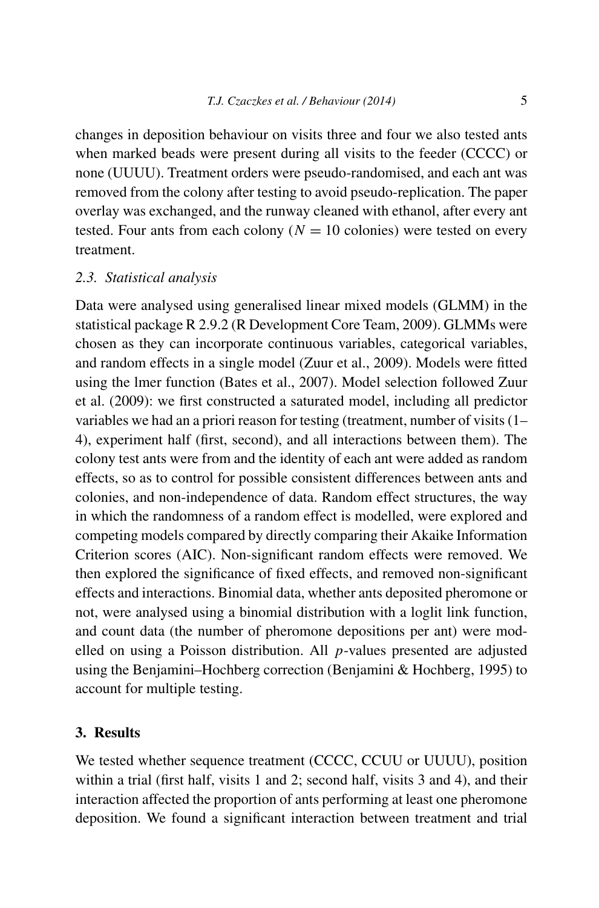changes in deposition behaviour on visits three and four we also tested ants when marked beads were present during all visits to the feeder (CCCC) or none (UUUU). Treatment orders were pseudo-randomised, and each ant was removed from the colony after testing to avoid pseudo-replication. The paper overlay was exchanged, and the runway cleaned with ethanol, after every ant tested. Four ants from each colony ( $N = 10$  colonies) were tested on every treatment.

#### *2.3. Statistical analysis*

Data were analysed using generalised linear mixed models (GLMM) in the statistical package R 2.9.2 (R Development Core Team, 2009). GLMMs were chosen as they can incorporate continuous variables, categorical variables, and random effects in a single model (Zuur et al., 2009). Models were fitted using the lmer function (Bates et al., 2007). Model selection followed Zuur et al. (2009): we first constructed a saturated model, including all predictor variables we had an a priori reason for testing (treatment, number of visits (1– 4), experiment half (first, second), and all interactions between them). The colony test ants were from and the identity of each ant were added as random effects, so as to control for possible consistent differences between ants and colonies, and non-independence of data. Random effect structures, the way in which the randomness of a random effect is modelled, were explored and competing models compared by directly comparing their Akaike Information Criterion scores (AIC). Non-significant random effects were removed. We then explored the significance of fixed effects, and removed non-significant effects and interactions. Binomial data, whether ants deposited pheromone or not, were analysed using a binomial distribution with a loglit link function, and count data (the number of pheromone depositions per ant) were modelled on using a Poisson distribution. All *p*-values presented are adjusted using the Benjamini–Hochberg correction (Benjamini & Hochberg, 1995) to account for multiple testing.

# **3. Results**

We tested whether sequence treatment (CCCC, CCUU or UUUU), position within a trial (first half, visits 1 and 2; second half, visits 3 and 4), and their interaction affected the proportion of ants performing at least one pheromone deposition. We found a significant interaction between treatment and trial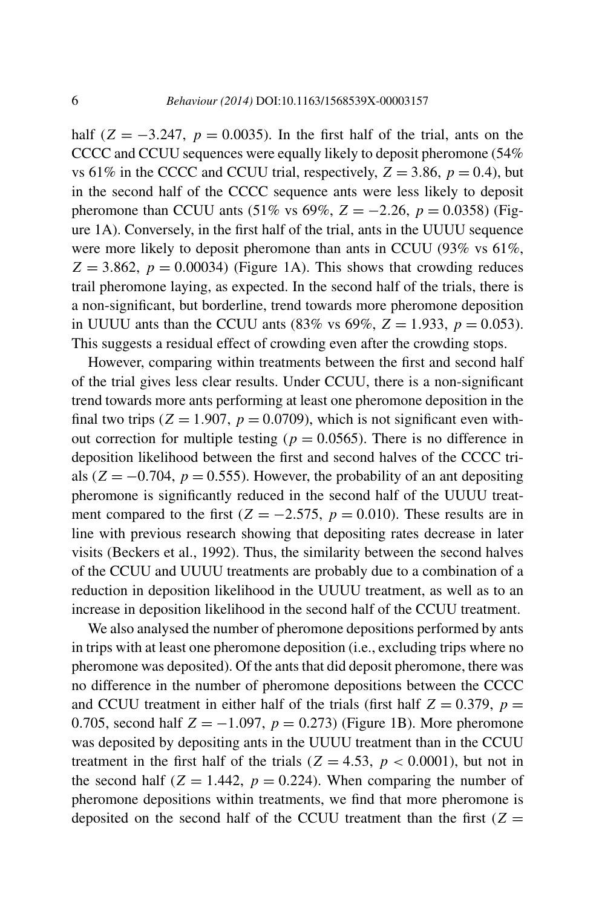half  $(Z = -3.247, p = 0.0035)$ . In the first half of the trial, ants on the CCCC and CCUU sequences were equally likely to deposit pheromone (54% vs 61% in the CCCC and CCUU trial, respectively,  $Z = 3.86$ ,  $p = 0.4$ ), but in the second half of the CCCC sequence ants were less likely to deposit pheromone than CCUU ants  $(51\% \text{ vs } 69\%, Z = -2.26, p = 0.0358)$  (Figure 1A). Conversely, in the first half of the trial, ants in the UUUU sequence were more likely to deposit pheromone than ants in CCUU (93% vs 61%,  $Z = 3.862$ ,  $p = 0.00034$ ) (Figure 1A). This shows that crowding reduces trail pheromone laying, as expected. In the second half of the trials, there is a non-significant, but borderline, trend towards more pheromone deposition in UUUU ants than the CCUU ants (83% vs 69%,  $Z = 1.933$ ,  $p = 0.053$ ). This suggests a residual effect of crowding even after the crowding stops.

However, comparing within treatments between the first and second half of the trial gives less clear results. Under CCUU, there is a non-significant trend towards more ants performing at least one pheromone deposition in the final two trips ( $Z = 1.907$ ,  $p = 0.0709$ ), which is not significant even without correction for multiple testing ( $p = 0.0565$ ). There is no difference in deposition likelihood between the first and second halves of the CCCC trials ( $Z = -0.704$ ,  $p = 0.555$ ). However, the probability of an ant depositing pheromone is significantly reduced in the second half of the UUUU treatment compared to the first  $(Z = -2.575, p = 0.010)$ . These results are in line with previous research showing that depositing rates decrease in later visits (Beckers et al., 1992). Thus, the similarity between the second halves of the CCUU and UUUU treatments are probably due to a combination of a reduction in deposition likelihood in the UUUU treatment, as well as to an increase in deposition likelihood in the second half of the CCUU treatment.

We also analysed the number of pheromone depositions performed by ants in trips with at least one pheromone deposition (i.e., excluding trips where no pheromone was deposited). Of the ants that did deposit pheromone, there was no difference in the number of pheromone depositions between the CCCC and CCUU treatment in either half of the trials (first half  $Z = 0.379$ ,  $p =$ 0*.*705, second half *Z* = −1*.*097, *p* = 0.273) (Figure 1B). More pheromone was deposited by depositing ants in the UUUU treatment than in the CCUU treatment in the first half of the trials  $(Z = 4.53, p < 0.0001)$ , but not in the second half  $(Z = 1.442, p = 0.224)$ . When comparing the number of pheromone depositions within treatments, we find that more pheromone is deposited on the second half of the CCUU treatment than the first  $(Z =$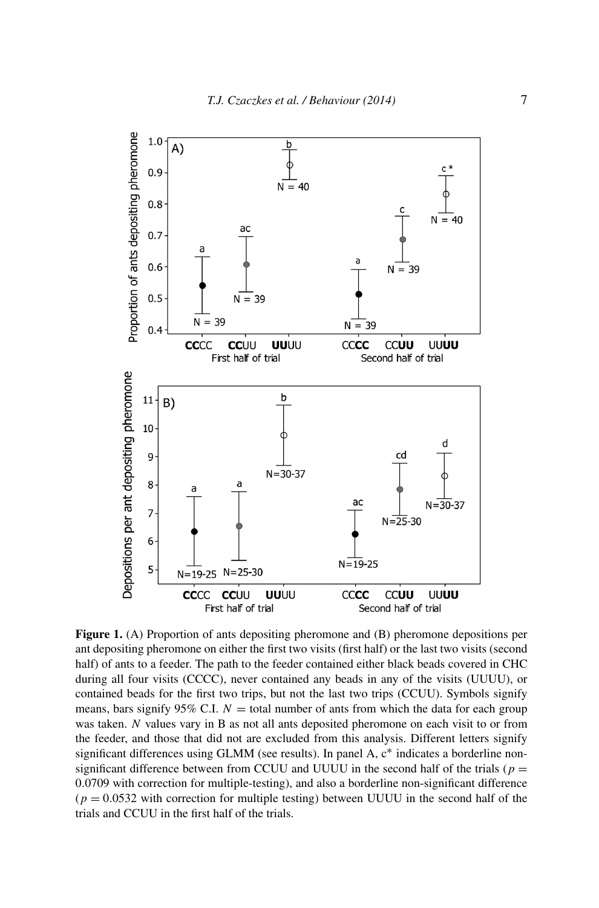

**Figure 1.** (A) Proportion of ants depositing pheromone and (B) pheromone depositions per ant depositing pheromone on either the first two visits (first half) or the last two visits (second half) of ants to a feeder. The path to the feeder contained either black beads covered in CHC during all four visits (CCCC), never contained any beads in any of the visits (UUUU), or contained beads for the first two trips, but not the last two trips (CCUU). Symbols signify means, bars signify 95% C.I.  $N =$  total number of ants from which the data for each group was taken. *N* values vary in B as not all ants deposited pheromone on each visit to or from the feeder, and those that did not are excluded from this analysis. Different letters signify significant differences using GLMM (see results). In panel A,  $c^*$  indicates a borderline nonsignificant difference between from CCUU and UUUU in the second half of the trials ( $p =$ 0*.*0709 with correction for multiple-testing), and also a borderline non-significant difference  $(p = 0.0532$  with correction for multiple testing) between UUUU in the second half of the trials and CCUU in the first half of the trials.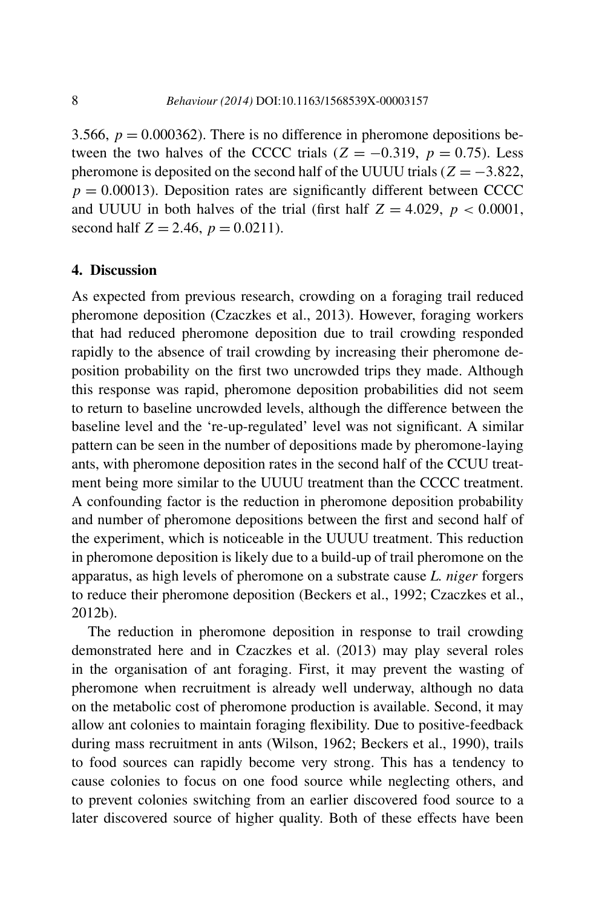3.566,  $p = 0.000362$ ). There is no difference in pheromone depositions between the two halves of the CCCC trials  $(Z = -0.319, p = 0.75)$ . Less pheromone is deposited on the second half of the UUUU trials ( $Z = -3.822$ ).  $p = 0.00013$ ). Deposition rates are significantly different between CCCC and UUUU in both halves of the trial (first half  $Z = 4.029$ ,  $p < 0.0001$ , second half  $Z = 2.46$ ,  $p = 0.0211$ .

#### **4. Discussion**

As expected from previous research, crowding on a foraging trail reduced pheromone deposition (Czaczkes et al., 2013). However, foraging workers that had reduced pheromone deposition due to trail crowding responded rapidly to the absence of trail crowding by increasing their pheromone deposition probability on the first two uncrowded trips they made. Although this response was rapid, pheromone deposition probabilities did not seem to return to baseline uncrowded levels, although the difference between the baseline level and the 're-up-regulated' level was not significant. A similar pattern can be seen in the number of depositions made by pheromone-laying ants, with pheromone deposition rates in the second half of the CCUU treatment being more similar to the UUUU treatment than the CCCC treatment. A confounding factor is the reduction in pheromone deposition probability and number of pheromone depositions between the first and second half of the experiment, which is noticeable in the UUUU treatment. This reduction in pheromone deposition is likely due to a build-up of trail pheromone on the apparatus, as high levels of pheromone on a substrate cause *L. niger* forgers to reduce their pheromone deposition (Beckers et al., 1992; Czaczkes et al., 2012b).

The reduction in pheromone deposition in response to trail crowding demonstrated here and in Czaczkes et al. (2013) may play several roles in the organisation of ant foraging. First, it may prevent the wasting of pheromone when recruitment is already well underway, although no data on the metabolic cost of pheromone production is available. Second, it may allow ant colonies to maintain foraging flexibility. Due to positive-feedback during mass recruitment in ants (Wilson, 1962; Beckers et al., 1990), trails to food sources can rapidly become very strong. This has a tendency to cause colonies to focus on one food source while neglecting others, and to prevent colonies switching from an earlier discovered food source to a later discovered source of higher quality. Both of these effects have been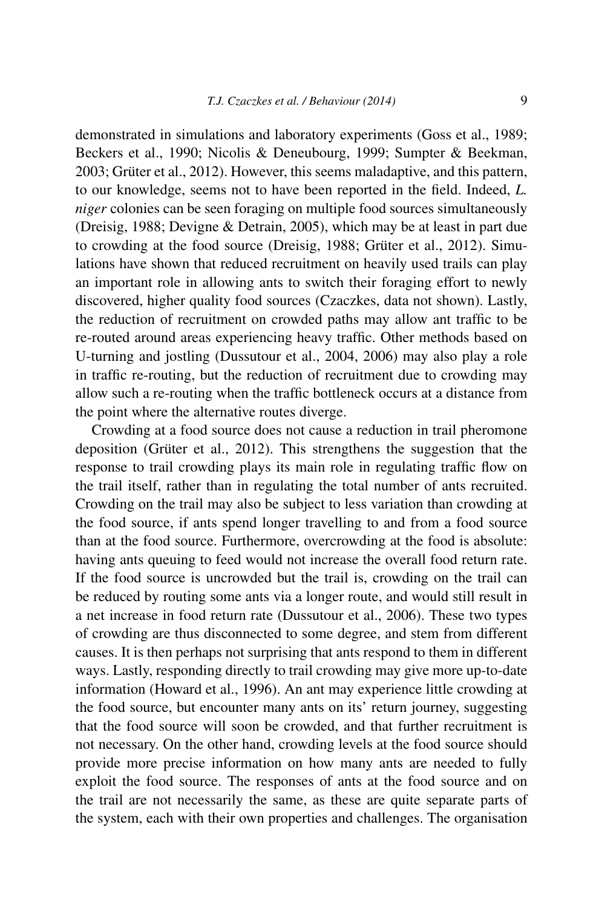demonstrated in simulations and laboratory experiments (Goss et al., 1989; Beckers et al., 1990; Nicolis & Deneubourg, 1999; Sumpter & Beekman, 2003; Grüter et al., 2012). However, this seems maladaptive, and this pattern, to our knowledge, seems not to have been reported in the field. Indeed, *L. niger* colonies can be seen foraging on multiple food sources simultaneously (Dreisig, 1988; Devigne & Detrain, 2005), which may be at least in part due to crowding at the food source (Dreisig, 1988; Grüter et al., 2012). Simulations have shown that reduced recruitment on heavily used trails can play an important role in allowing ants to switch their foraging effort to newly discovered, higher quality food sources (Czaczkes, data not shown). Lastly, the reduction of recruitment on crowded paths may allow ant traffic to be re-routed around areas experiencing heavy traffic. Other methods based on U-turning and jostling (Dussutour et al., 2004, 2006) may also play a role in traffic re-routing, but the reduction of recruitment due to crowding may allow such a re-routing when the traffic bottleneck occurs at a distance from the point where the alternative routes diverge.

Crowding at a food source does not cause a reduction in trail pheromone deposition (Grüter et al., 2012). This strengthens the suggestion that the response to trail crowding plays its main role in regulating traffic flow on the trail itself, rather than in regulating the total number of ants recruited. Crowding on the trail may also be subject to less variation than crowding at the food source, if ants spend longer travelling to and from a food source than at the food source. Furthermore, overcrowding at the food is absolute: having ants queuing to feed would not increase the overall food return rate. If the food source is uncrowded but the trail is, crowding on the trail can be reduced by routing some ants via a longer route, and would still result in a net increase in food return rate (Dussutour et al., 2006). These two types of crowding are thus disconnected to some degree, and stem from different causes. It is then perhaps not surprising that ants respond to them in different ways. Lastly, responding directly to trail crowding may give more up-to-date information (Howard et al., 1996). An ant may experience little crowding at the food source, but encounter many ants on its' return journey, suggesting that the food source will soon be crowded, and that further recruitment is not necessary. On the other hand, crowding levels at the food source should provide more precise information on how many ants are needed to fully exploit the food source. The responses of ants at the food source and on the trail are not necessarily the same, as these are quite separate parts of the system, each with their own properties and challenges. The organisation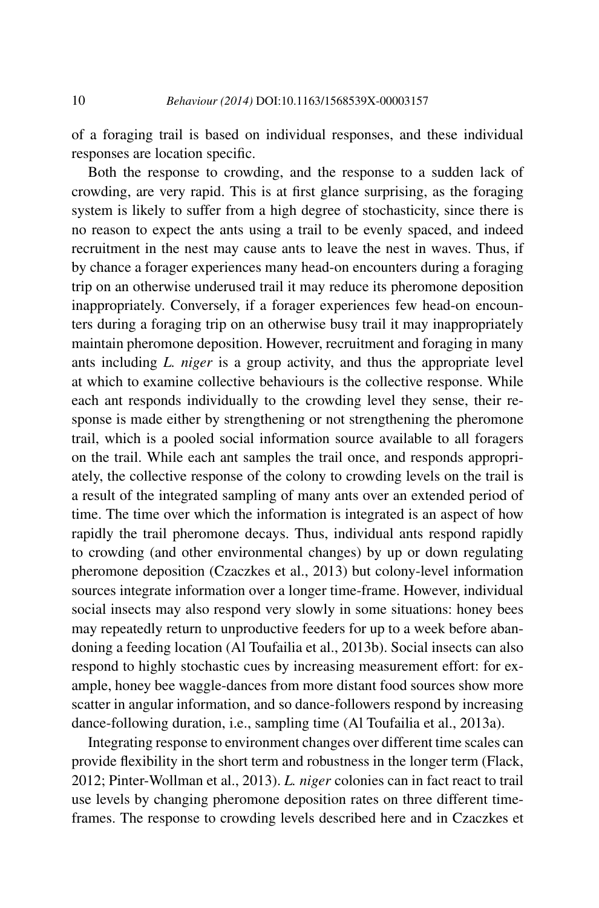of a foraging trail is based on individual responses, and these individual responses are location specific.

Both the response to crowding, and the response to a sudden lack of crowding, are very rapid. This is at first glance surprising, as the foraging system is likely to suffer from a high degree of stochasticity, since there is no reason to expect the ants using a trail to be evenly spaced, and indeed recruitment in the nest may cause ants to leave the nest in waves. Thus, if by chance a forager experiences many head-on encounters during a foraging trip on an otherwise underused trail it may reduce its pheromone deposition inappropriately. Conversely, if a forager experiences few head-on encounters during a foraging trip on an otherwise busy trail it may inappropriately maintain pheromone deposition. However, recruitment and foraging in many ants including *L. niger* is a group activity, and thus the appropriate level at which to examine collective behaviours is the collective response. While each ant responds individually to the crowding level they sense, their response is made either by strengthening or not strengthening the pheromone trail, which is a pooled social information source available to all foragers on the trail. While each ant samples the trail once, and responds appropriately, the collective response of the colony to crowding levels on the trail is a result of the integrated sampling of many ants over an extended period of time. The time over which the information is integrated is an aspect of how rapidly the trail pheromone decays. Thus, individual ants respond rapidly to crowding (and other environmental changes) by up or down regulating pheromone deposition (Czaczkes et al., 2013) but colony-level information sources integrate information over a longer time-frame. However, individual social insects may also respond very slowly in some situations: honey bees may repeatedly return to unproductive feeders for up to a week before abandoning a feeding location (Al Toufailia et al., 2013b). Social insects can also respond to highly stochastic cues by increasing measurement effort: for example, honey bee waggle-dances from more distant food sources show more scatter in angular information, and so dance-followers respond by increasing dance-following duration, i.e., sampling time (Al Toufailia et al., 2013a).

Integrating response to environment changes over different time scales can provide flexibility in the short term and robustness in the longer term (Flack, 2012; Pinter-Wollman et al., 2013). *L. niger* colonies can in fact react to trail use levels by changing pheromone deposition rates on three different timeframes. The response to crowding levels described here and in Czaczkes et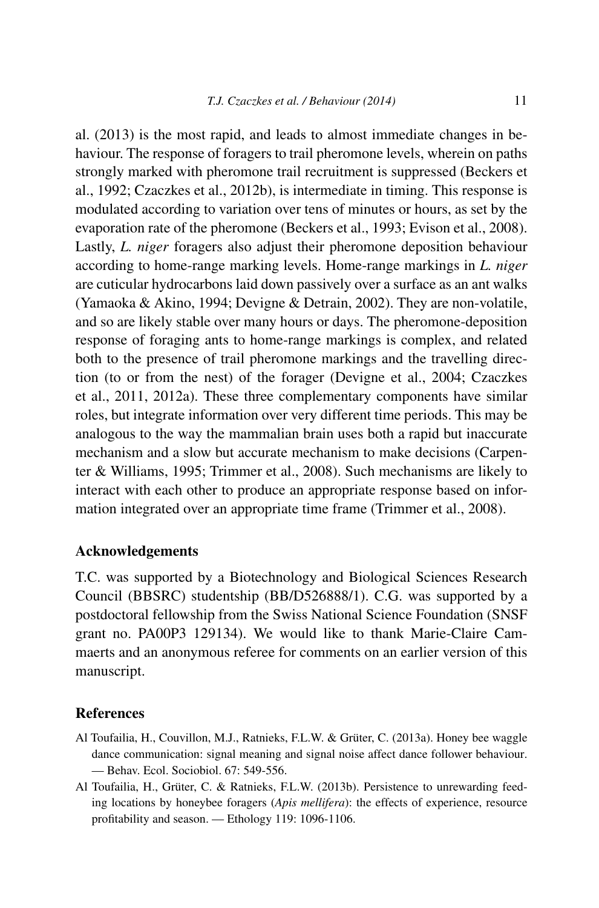al. (2013) is the most rapid, and leads to almost immediate changes in behaviour. The response of foragers to trail pheromone levels, wherein on paths strongly marked with pheromone trail recruitment is suppressed (Beckers et al., 1992; Czaczkes et al., 2012b), is intermediate in timing. This response is modulated according to variation over tens of minutes or hours, as set by the evaporation rate of the pheromone (Beckers et al., 1993; Evison et al., 2008). Lastly, *L. niger* foragers also adjust their pheromone deposition behaviour according to home-range marking levels. Home-range markings in *L. niger* are cuticular hydrocarbons laid down passively over a surface as an ant walks (Yamaoka & Akino, 1994; Devigne & Detrain, 2002). They are non-volatile, and so are likely stable over many hours or days. The pheromone-deposition response of foraging ants to home-range markings is complex, and related both to the presence of trail pheromone markings and the travelling direction (to or from the nest) of the forager (Devigne et al., 2004; Czaczkes et al., 2011, 2012a). These three complementary components have similar roles, but integrate information over very different time periods. This may be analogous to the way the mammalian brain uses both a rapid but inaccurate mechanism and a slow but accurate mechanism to make decisions (Carpenter & Williams, 1995; Trimmer et al., 2008). Such mechanisms are likely to interact with each other to produce an appropriate response based on information integrated over an appropriate time frame (Trimmer et al., 2008).

#### **Acknowledgements**

T.C. was supported by a Biotechnology and Biological Sciences Research Council (BBSRC) studentship (BB/D526888/1). C.G. was supported by a postdoctoral fellowship from the Swiss National Science Foundation (SNSF grant no. PA00P3 129134). We would like to thank Marie-Claire Cammaerts and an anonymous referee for comments on an earlier version of this manuscript.

## **References**

- Al Toufailia, H., Couvillon, M.J., Ratnieks, F.L.W. & Grüter, C. (2013a). Honey bee waggle dance communication: signal meaning and signal noise affect dance follower behaviour. — Behav. Ecol. Sociobiol. 67: 549-556.
- Al Toufailia, H., Grüter, C. & Ratnieks, F.L.W. (2013b). Persistence to unrewarding feeding locations by honeybee foragers (*Apis mellifera*): the effects of experience, resource profitability and season. — Ethology 119: 1096-1106.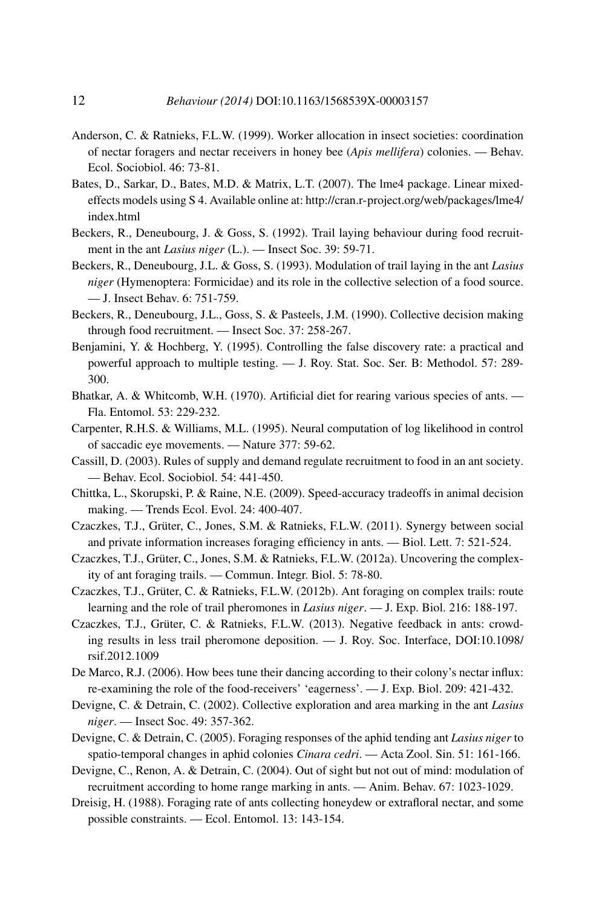- Anderson, C. & Ratnieks, F.L.W. (1999). Worker allocation in insect societies: coordination of nectar foragers and nectar receivers in honey bee (*Apis mellifera*) colonies. — Behav. Ecol. Sociobiol. 46: 73-81.
- Bates, D., Sarkar, D., Bates, M.D. & Matrix, L.T. (2007). The lme4 package. Linear mixedeffects models using S 4. Available online at: http://cran.r-project.org/web/packages/lme4/ index.html
- Beckers, R., Deneubourg, J. & Goss, S. (1992). Trail laying behaviour during food recruitment in the ant *Lasius niger* (L.). — Insect Soc. 39: 59-71.
- Beckers, R., Deneubourg, J.L. & Goss, S. (1993). Modulation of trail laying in the ant *Lasius niger* (Hymenoptera: Formicidae) and its role in the collective selection of a food source. — J. Insect Behav. 6: 751-759.
- Beckers, R., Deneubourg, J.L., Goss, S. & Pasteels, J.M. (1990). Collective decision making through food recruitment. — Insect Soc. 37: 258-267.
- Benjamini, Y. & Hochberg, Y. (1995). Controlling the false discovery rate: a practical and powerful approach to multiple testing. — J. Roy. Stat. Soc. Ser. B: Methodol. 57: 289- 300.
- Bhatkar, A. & Whitcomb, W.H. (1970). Artificial diet for rearing various species of ants. Fla. Entomol. 53: 229-232.
- Carpenter, R.H.S. & Williams, M.L. (1995). Neural computation of log likelihood in control of saccadic eye movements. — Nature 377: 59-62.
- Cassill, D. (2003). Rules of supply and demand regulate recruitment to food in an ant society. — Behav. Ecol. Sociobiol. 54: 441-450.
- Chittka, L., Skorupski, P. & Raine, N.E. (2009). Speed-accuracy tradeoffs in animal decision making. — Trends Ecol. Evol. 24: 400-407.
- Czaczkes, T.J., Grüter, C., Jones, S.M. & Ratnieks, F.L.W. (2011). Synergy between social and private information increases foraging efficiency in ants. — Biol. Lett. 7: 521-524.
- Czaczkes, T.J., Grüter, C., Jones, S.M. & Ratnieks, F.L.W. (2012a). Uncovering the complexity of ant foraging trails. — Commun. Integr. Biol. 5: 78-80.
- Czaczkes, T.J., Grüter, C. & Ratnieks, F.L.W. (2012b). Ant foraging on complex trails: route learning and the role of trail pheromones in *Lasius niger*. — J. Exp. Biol. 216: 188-197.
- Czaczkes, T.J., Grüter, C. & Ratnieks, F.L.W. (2013). Negative feedback in ants: crowding results in less trail pheromone deposition. — J. Roy. Soc. Interface, DOI:10.1098/ rsif.2012.1009
- De Marco, R.J. (2006). How bees tune their dancing according to their colony's nectar influx: re-examining the role of the food-receivers' 'eagerness'. — J. Exp. Biol. 209: 421-432.
- Devigne, C. & Detrain, C. (2002). Collective exploration and area marking in the ant *Lasius niger*. — Insect Soc. 49: 357-362.
- Devigne, C. & Detrain, C. (2005). Foraging responses of the aphid tending ant *Lasius niger* to spatio-temporal changes in aphid colonies *Cinara cedri*. — Acta Zool. Sin. 51: 161-166.
- Devigne, C., Renon, A. & Detrain, C. (2004). Out of sight but not out of mind: modulation of recruitment according to home range marking in ants. — Anim. Behav. 67: 1023-1029.
- Dreisig, H. (1988). Foraging rate of ants collecting honeydew or extrafloral nectar, and some possible constraints. — Ecol. Entomol. 13: 143-154.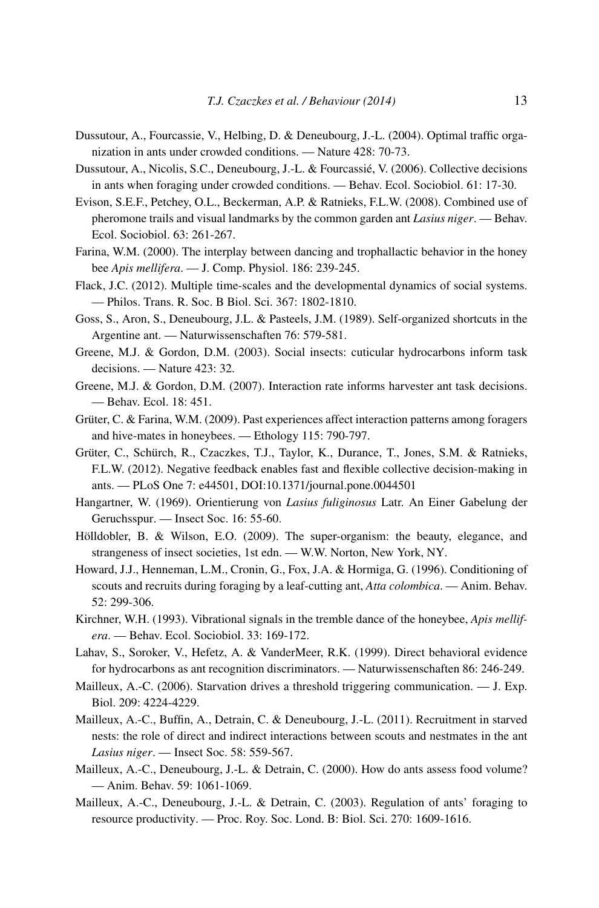- Dussutour, A., Fourcassie, V., Helbing, D. & Deneubourg, J.-L. (2004). Optimal traffic organization in ants under crowded conditions. — Nature 428: 70-73.
- Dussutour, A., Nicolis, S.C., Deneubourg, J.-L. & Fourcassié, V. (2006). Collective decisions in ants when foraging under crowded conditions. — Behav. Ecol. Sociobiol. 61: 17-30.
- Evison, S.E.F., Petchey, O.L., Beckerman, A.P. & Ratnieks, F.L.W. (2008). Combined use of pheromone trails and visual landmarks by the common garden ant *Lasius niger*. — Behav. Ecol. Sociobiol. 63: 261-267.
- Farina, W.M. (2000). The interplay between dancing and trophallactic behavior in the honey bee *Apis mellifera*. — J. Comp. Physiol. 186: 239-245.
- Flack, J.C. (2012). Multiple time-scales and the developmental dynamics of social systems. — Philos. Trans. R. Soc. B Biol. Sci. 367: 1802-1810.
- Goss, S., Aron, S., Deneubourg, J.L. & Pasteels, J.M. (1989). Self-organized shortcuts in the Argentine ant. — Naturwissenschaften 76: 579-581.
- Greene, M.J. & Gordon, D.M. (2003). Social insects: cuticular hydrocarbons inform task decisions. — Nature 423: 32.
- Greene, M.J. & Gordon, D.M. (2007). Interaction rate informs harvester ant task decisions. — Behav. Ecol. 18: 451.
- Grüter, C. & Farina, W.M. (2009). Past experiences affect interaction patterns among foragers and hive-mates in honeybees. — Ethology 115: 790-797.
- Grüter, C., Schürch, R., Czaczkes, T.J., Taylor, K., Durance, T., Jones, S.M. & Ratnieks, F.L.W. (2012). Negative feedback enables fast and flexible collective decision-making in ants. — PLoS One 7: e44501, DOI[:1](http://dx.doi.org/10.1371/journal.pone.0044501)0.1371/journal.pone.004450[1](http://dx.doi.org/10.1371/journal.pone.0044501)
- Hangartner, W. (1969). Orientierung von *Lasius fuliginosus* Latr. An Einer Gabelung der Geruchsspur. — Insect Soc. 16: 55-60.
- Hölldobler, B. & Wilson, E.O. (2009). The super-organism: the beauty, elegance, and strangeness of insect societies, 1st edn. — W.W. Norton, New York, NY.
- Howard, J.J., Henneman, L.M., Cronin, G., Fox, J.A. & Hormiga, G. (1996). Conditioning of scouts and recruits during foraging by a leaf-cutting ant, *Atta colombica*. — Anim. Behav. 52: 299-306.
- Kirchner, W.H. (1993). Vibrational signals in the tremble dance of the honeybee, *Apis mellifera*. — Behav. Ecol. Sociobiol. 33: 169-172.
- Lahav, S., Soroker, V., Hefetz, A. & VanderMeer, R.K. (1999). Direct behavioral evidence for hydrocarbons as ant recognition discriminators. — Naturwissenschaften 86: 246-249.
- Mailleux, A.-C. (2006). Starvation drives a threshold triggering communication. J. Exp. Biol. 209: 4224-4229.
- Mailleux, A.-C., Buffin, A., Detrain, C. & Deneubourg, J.-L. (2011). Recruitment in starved nests: the role of direct and indirect interactions between scouts and nestmates in the ant *Lasius niger*. — Insect Soc. 58: 559-567.
- Mailleux, A.-C., Deneubourg, J.-L. & Detrain, C. (2000). How do ants assess food volume? — Anim. Behav. 59: 1061-1069.
- Mailleux, A.-C., Deneubourg, J.-L. & Detrain, C. (2003). Regulation of ants' foraging to resource productivity. — Proc. Roy. Soc. Lond. B: Biol. Sci. 270: 1609-1616.